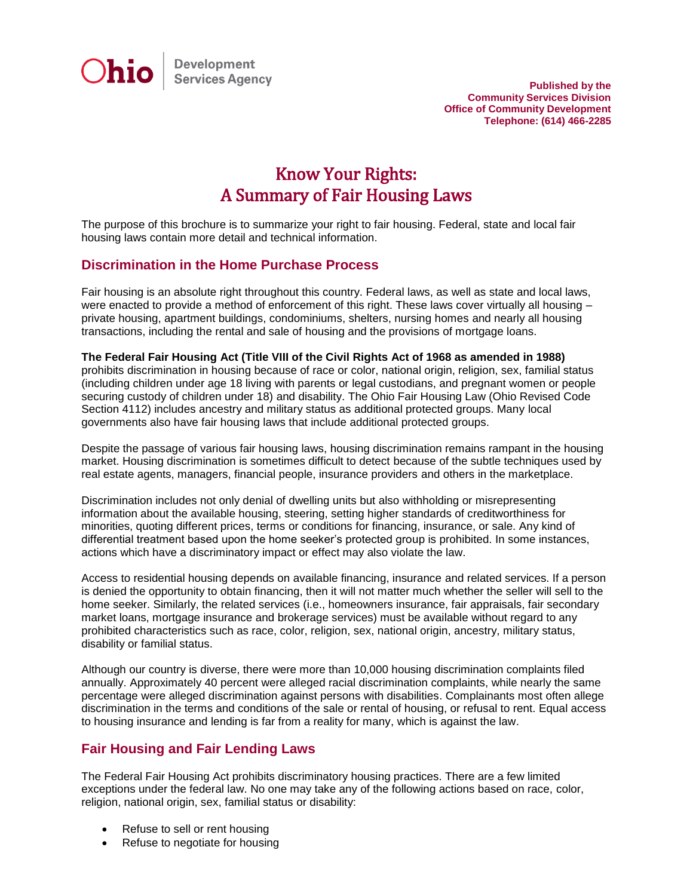

**Published by the Community Services Division Office of Community Development Telephone: (614) 466-2285**

# Know Your Rights: A Summary of Fair Housing Laws

The purpose of this brochure is to summarize your right to fair housing. Federal, state and local fair housing laws contain more detail and technical information.

### **Discrimination in the Home Purchase Process**

Fair housing is an absolute right throughout this country. Federal laws, as well as state and local laws, were enacted to provide a method of enforcement of this right. These laws cover virtually all housing – private housing, apartment buildings, condominiums, shelters, nursing homes and nearly all housing transactions, including the rental and sale of housing and the provisions of mortgage loans.

#### **The Federal Fair Housing Act (Title VIII of the Civil Rights Act of 1968 as amended in 1988)** prohibits discrimination in housing because of race or color, national origin, religion, sex, familial status (including children under age 18 living with parents or legal custodians, and pregnant women or people securing custody of children under 18) and disability. The Ohio Fair Housing Law (Ohio Revised Code Section 4112) includes ancestry and military status as additional protected groups. Many local governments also have fair housing laws that include additional protected groups.

Despite the passage of various fair housing laws, housing discrimination remains rampant in the housing market. Housing discrimination is sometimes difficult to detect because of the subtle techniques used by real estate agents, managers, financial people, insurance providers and others in the marketplace.

Discrimination includes not only denial of dwelling units but also withholding or misrepresenting information about the available housing, steering, setting higher standards of creditworthiness for minorities, quoting different prices, terms or conditions for financing, insurance, or sale. Any kind of differential treatment based upon the home seeker's protected group is prohibited. In some instances, actions which have a discriminatory impact or effect may also violate the law.

Access to residential housing depends on available financing, insurance and related services. If a person is denied the opportunity to obtain financing, then it will not matter much whether the seller will sell to the home seeker. Similarly, the related services (i.e., homeowners insurance, fair appraisals, fair secondary market loans, mortgage insurance and brokerage services) must be available without regard to any prohibited characteristics such as race, color, religion, sex, national origin, ancestry, military status, disability or familial status.

Although our country is diverse, there were more than 10,000 housing discrimination complaints filed annually. Approximately 40 percent were alleged racial discrimination complaints, while nearly the same percentage were alleged discrimination against persons with disabilities. Complainants most often allege discrimination in the terms and conditions of the sale or rental of housing, or refusal to rent. Equal access to housing insurance and lending is far from a reality for many, which is against the law.

### **Fair Housing and Fair Lending Laws**

The Federal Fair Housing Act prohibits discriminatory housing practices. There are a few limited exceptions under the federal law. No one may take any of the following actions based on race, color, religion, national origin, sex, familial status or disability:

- Refuse to sell or rent housing
- Refuse to negotiate for housing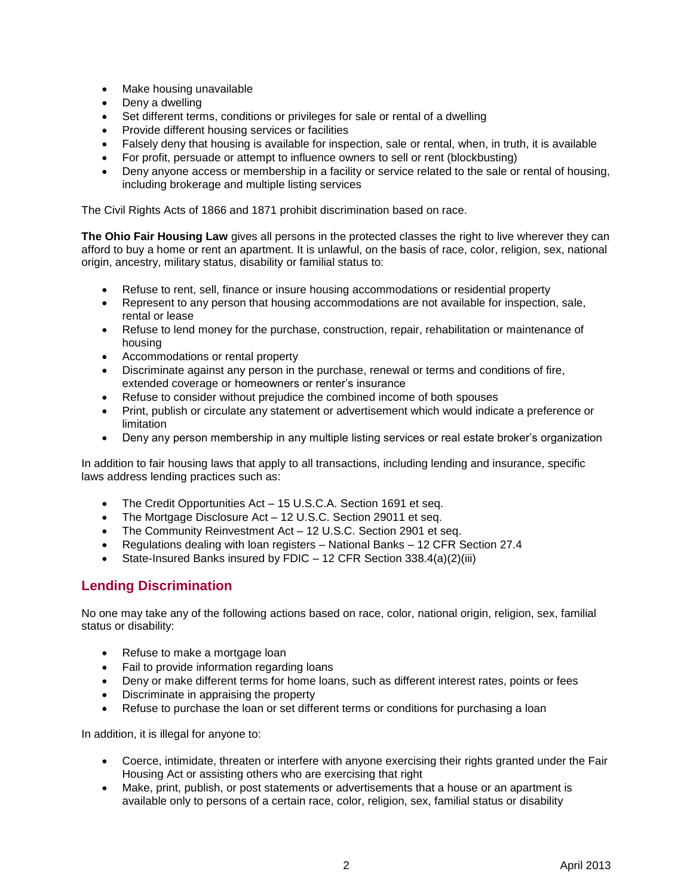- Make housing unavailable
- Deny a dwelling
- Set different terms, conditions or privileges for sale or rental of a dwelling
- Provide different housing services or facilities
- Falsely deny that housing is available for inspection, sale or rental, when, in truth, it is available
- For profit, persuade or attempt to influence owners to sell or rent (blockbusting)
- Deny anyone access or membership in a facility or service related to the sale or rental of housing, including brokerage and multiple listing services

The Civil Rights Acts of 1866 and 1871 prohibit discrimination based on race.

**The Ohio Fair Housing Law** gives all persons in the protected classes the right to live wherever they can afford to buy a home or rent an apartment. It is unlawful, on the basis of race, color, religion, sex, national origin, ancestry, military status, disability or familial status to:

- Refuse to rent, sell, finance or insure housing accommodations or residential property
- Represent to any person that housing accommodations are not available for inspection, sale, rental or lease
- Refuse to lend money for the purchase, construction, repair, rehabilitation or maintenance of housing
- Accommodations or rental property
- Discriminate against any person in the purchase, renewal or terms and conditions of fire, extended coverage or homeowners or renter's insurance
- Refuse to consider without prejudice the combined income of both spouses
- Print, publish or circulate any statement or advertisement which would indicate a preference or limitation
- Deny any person membership in any multiple listing services or real estate broker's organization

In addition to fair housing laws that apply to all transactions, including lending and insurance, specific laws address lending practices such as:

- The Credit Opportunities Act 15 U.S.C.A. Section 1691 et seq.
- The Mortgage Disclosure Act 12 U.S.C. Section 29011 et seq.
- The Community Reinvestment Act 12 U.S.C. Section 2901 et seq.
- Regulations dealing with loan registers National Banks 12 CFR Section 27.4
- State-Insured Banks insured by FDIC 12 CFR Section 338.4(a)(2)(iii)

# **Lending Discrimination**

No one may take any of the following actions based on race, color, national origin, religion, sex, familial status or disability:

- Refuse to make a mortgage loan
- Fail to provide information regarding loans
- Deny or make different terms for home loans, such as different interest rates, points or fees
- Discriminate in appraising the property
- Refuse to purchase the loan or set different terms or conditions for purchasing a loan

In addition, it is illegal for anyone to:

- Coerce, intimidate, threaten or interfere with anyone exercising their rights granted under the Fair Housing Act or assisting others who are exercising that right
- Make, print, publish, or post statements or advertisements that a house or an apartment is available only to persons of a certain race, color, religion, sex, familial status or disability